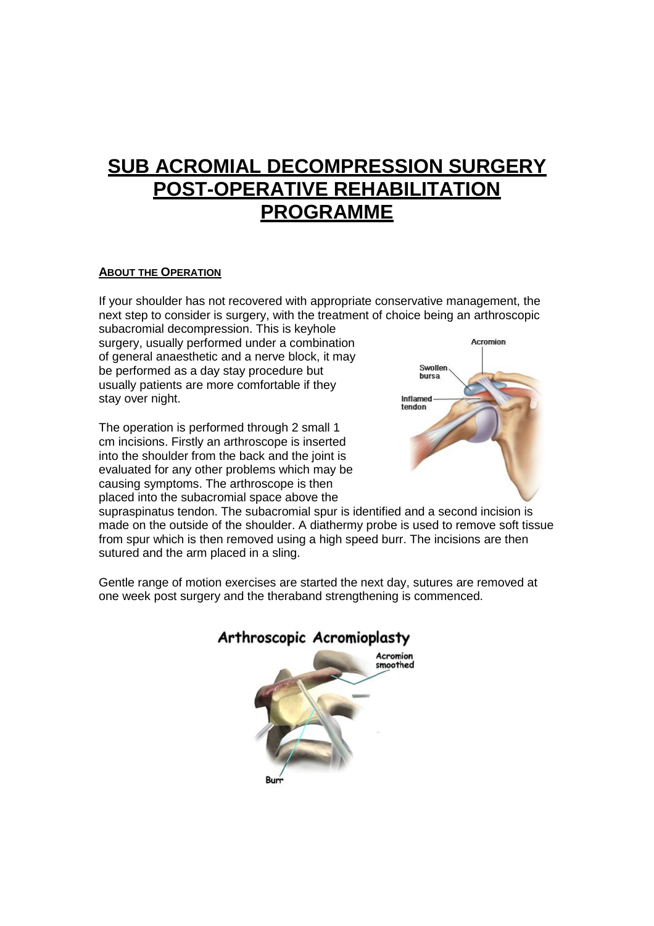# **SUB ACROMIAL DECOMPRESSION SURGERY POST-OPERATIVE REHABILITATION PROGRAMME**

#### **ABOUT THE OPERATION**

If your shoulder has not recovered with appropriate conservative management, the next step to consider is surgery, with the treatment of choice being an arthroscopic

subacromial decompression. This is keyhole surgery, usually performed under a combination of general anaesthetic and a nerve block, it may be performed as a day stay procedure but usually patients are more comfortable if they stay over night.

The operation is performed through 2 small 1 cm incisions. Firstly an arthroscope is inserted into the shoulder from the back and the joint is evaluated for any other problems which may be causing symptoms. The arthroscope is then placed into the subacromial space above the



supraspinatus tendon. The subacromial spur is identified and a second incision is made on the outside of the shoulder. A diathermy probe is used to remove soft tissue from spur which is then removed using a high speed burr. The incisions are then sutured and the arm placed in a sling.

Gentle range of motion exercises are started the next day, sutures are removed at one week post surgery and the theraband strengthening is commenced.

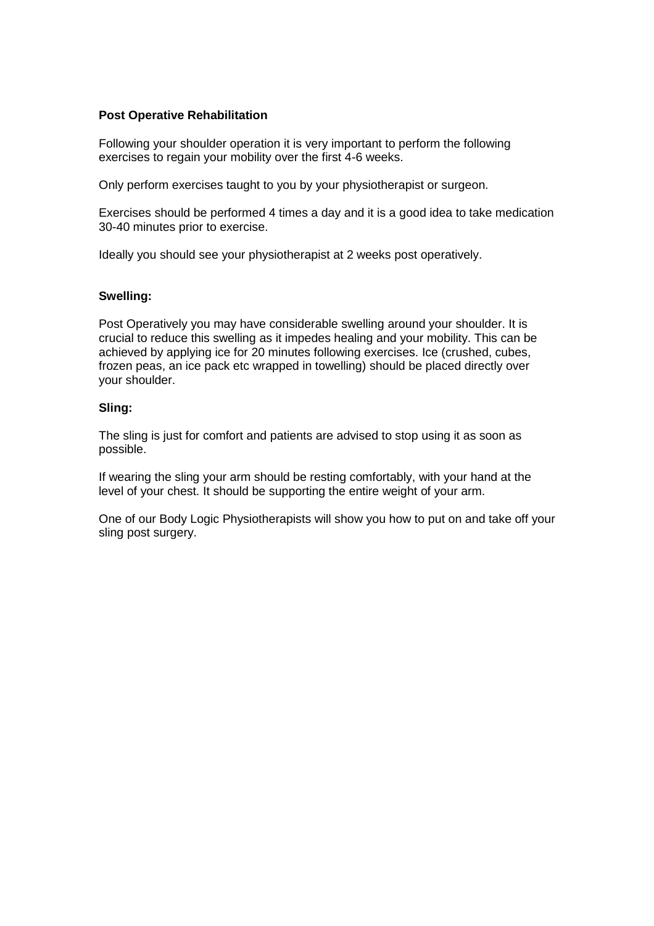#### **Post Operative Rehabilitation**

Following your shoulder operation it is very important to perform the following exercises to regain your mobility over the first 4-6 weeks.

Only perform exercises taught to you by your physiotherapist or surgeon.

Exercises should be performed 4 times a day and it is a good idea to take medication 30-40 minutes prior to exercise.

Ideally you should see your physiotherapist at 2 weeks post operatively.

#### **Swelling:**

Post Operatively you may have considerable swelling around your shoulder. It is crucial to reduce this swelling as it impedes healing and your mobility. This can be achieved by applying ice for 20 minutes following exercises. Ice (crushed, cubes, frozen peas, an ice pack etc wrapped in towelling) should be placed directly over your shoulder.

#### **Sling:**

The sling is just for comfort and patients are advised to stop using it as soon as possible.

If wearing the sling your arm should be resting comfortably, with your hand at the level of your chest. It should be supporting the entire weight of your arm.

One of our Body Logic Physiotherapists will show you how to put on and take off your sling post surgery.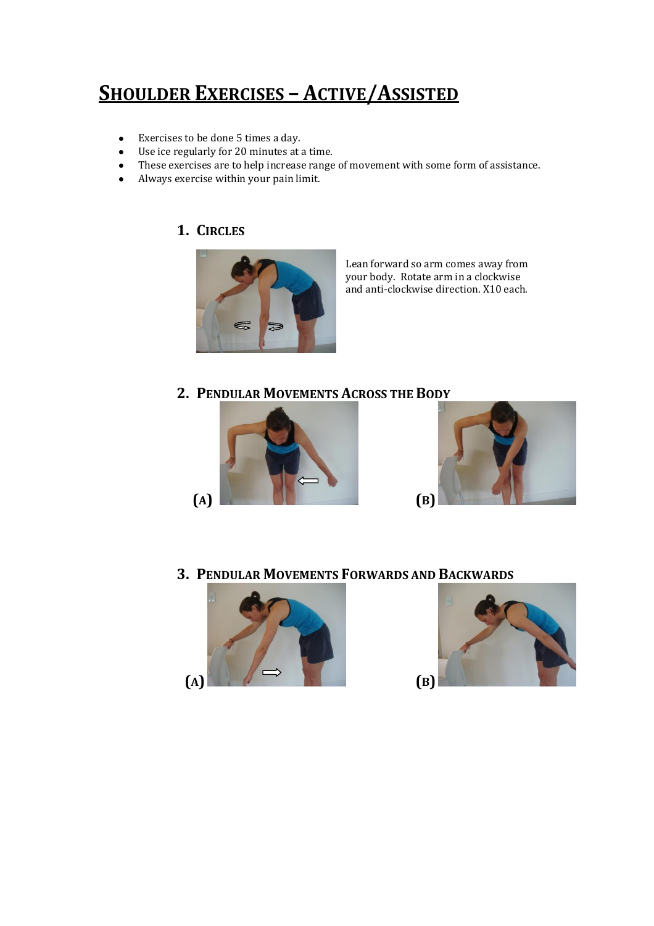# **SHOULDER EXERCISES – ACTIVE/ASSISTED**

- Exercises to be done 5 times a day.  $\bullet$
- Use ice regularly for 20 minutes at a time.  $\bullet$
- These exercises are to help increase range of movement with some form of assistance.  $\bullet$
- Always exercise within your pain limit.  $\bullet$

### **1. CIRCLES**



Lean forward so arm comes away from your body. Rotate arm in a clockwise and anti-clockwise direction. X10 each.

### **2. PENDULAR MOVEMENTS ACROSS THE BODY**





**3. PENDULAR MOVEMENTS FORWARDS AND BACKWARDS**



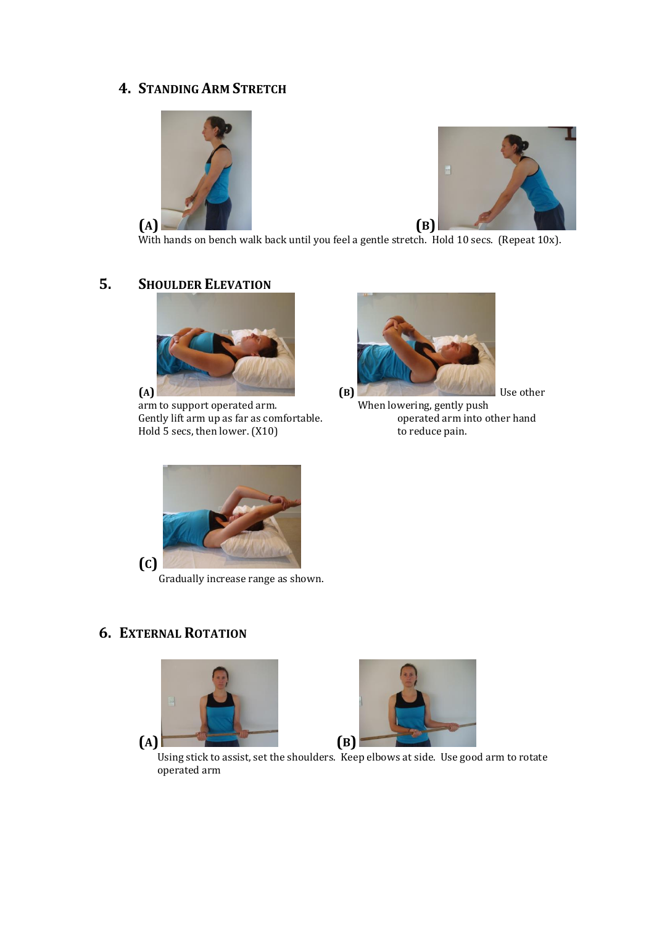## **4. STANDING ARM STRETCH**





With hands on bench walk back until you feel a gentle stretch. Hold 10 secs. (Repeat 10x).

# **5. SHOULDER ELEVATION**



arm to support operated arm. When lowering, gently push<br>Gently lift arm up as far as comfortable. operated arm into other hand Gently lift arm up as far as comfortable. Hold 5 secs, then lower. (X10) to reduce pain.





Gradually increase range as shown.

# **6. EXTERNAL ROTATION**





Using stick to assist, set the shoulders. Keep elbows at side. Use good arm to rotate operated arm